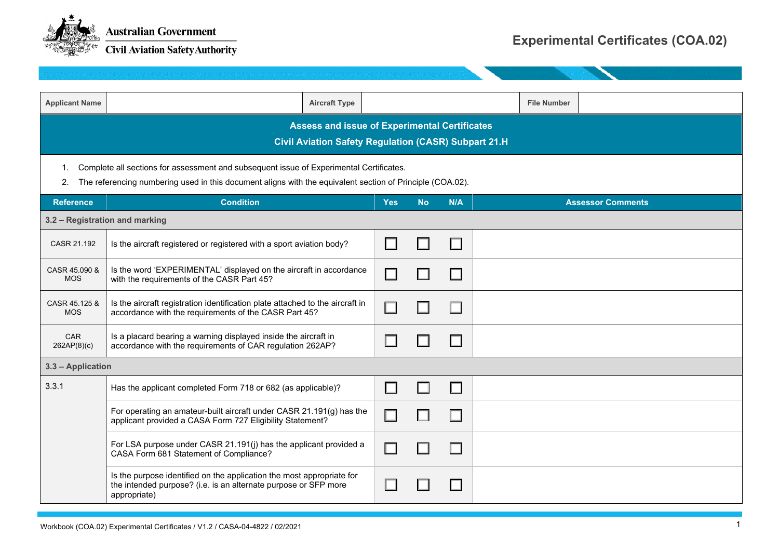

| <b>Applicant Name</b>                                                                                                                                                                                            | <b>Aircraft Type</b>                                                                                                                                     |                          |           |     | <b>File Number</b>       |  |
|------------------------------------------------------------------------------------------------------------------------------------------------------------------------------------------------------------------|----------------------------------------------------------------------------------------------------------------------------------------------------------|--------------------------|-----------|-----|--------------------------|--|
| <b>Assess and issue of Experimental Certificates</b><br><b>Civil Aviation Safety Regulation (CASR) Subpart 21.H</b>                                                                                              |                                                                                                                                                          |                          |           |     |                          |  |
| Complete all sections for assessment and subsequent issue of Experimental Certificates.<br>1.<br>The referencing numbering used in this document aligns with the equivalent section of Principle (COA.02).<br>2. |                                                                                                                                                          |                          |           |     |                          |  |
| <b>Reference</b>                                                                                                                                                                                                 | <b>Condition</b>                                                                                                                                         | <b>Yes</b>               | <b>No</b> | N/A | <b>Assessor Comments</b> |  |
|                                                                                                                                                                                                                  | 3.2 - Registration and marking                                                                                                                           |                          |           |     |                          |  |
| CASR 21.192                                                                                                                                                                                                      | Is the aircraft registered or registered with a sport aviation body?                                                                                     | $\sim$                   |           | H   |                          |  |
| CASR 45.090 &<br><b>MOS</b>                                                                                                                                                                                      | Is the word 'EXPERIMENTAL' displayed on the aircraft in accordance<br>with the requirements of the CASR Part 45?                                         | $\overline{\phantom{a}}$ |           |     |                          |  |
| CASR 45.125 &<br><b>MOS</b>                                                                                                                                                                                      | Is the aircraft registration identification plate attached to the aircraft in<br>accordance with the requirements of the CASR Part 45?                   | $\Box$                   |           |     |                          |  |
| CAR<br>262AP(8)(c)                                                                                                                                                                                               | Is a placard bearing a warning displayed inside the aircraft in<br>accordance with the requirements of CAR regulation 262AP?                             | H                        |           | H   |                          |  |
| 3.3 - Application                                                                                                                                                                                                |                                                                                                                                                          |                          |           |     |                          |  |
| 3.3.1                                                                                                                                                                                                            | Has the applicant completed Form 718 or 682 (as applicable)?                                                                                             | $\Box$                   | Ш         | ΙI  |                          |  |
|                                                                                                                                                                                                                  | For operating an amateur-built aircraft under CASR 21.191(g) has the<br>applicant provided a CASA Form 727 Eligibility Statement?                        | П                        |           |     |                          |  |
|                                                                                                                                                                                                                  | For LSA purpose under CASR 21.191(j) has the applicant provided a<br>CASA Form 681 Statement of Compliance?                                              | $\Box$                   |           | H   |                          |  |
|                                                                                                                                                                                                                  | Is the purpose identified on the application the most appropriate for<br>the intended purpose? (i.e. is an alternate purpose or SFP more<br>appropriate) | H                        |           |     |                          |  |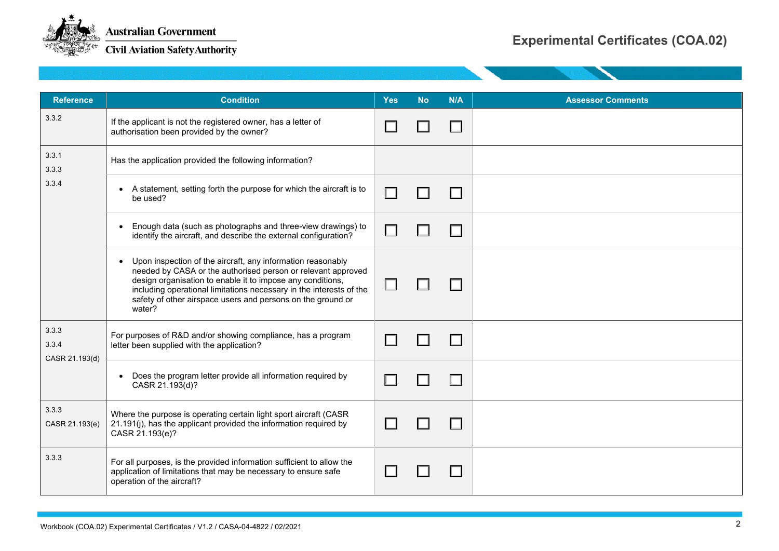

**Civil Aviation Safety Authority** 

| <b>Reference</b>                 | <b>Condition</b>                                                                                                                                                                                                                                                                                                                            | <b>Yes</b> | <b>No</b> | N/A | <b>Assessor Comments</b> |
|----------------------------------|---------------------------------------------------------------------------------------------------------------------------------------------------------------------------------------------------------------------------------------------------------------------------------------------------------------------------------------------|------------|-----------|-----|--------------------------|
| 332                              | If the applicant is not the registered owner, has a letter of<br>authorisation been provided by the owner?                                                                                                                                                                                                                                  |            |           | H   |                          |
| 3.3.1<br>333                     | Has the application provided the following information?                                                                                                                                                                                                                                                                                     |            |           |     |                          |
| 3.3.4                            | • A statement, setting forth the purpose for which the aircraft is to<br>be used?                                                                                                                                                                                                                                                           | H          |           |     |                          |
|                                  | Enough data (such as photographs and three-view drawings) to<br>$\bullet$<br>identify the aircraft, and describe the external configuration?                                                                                                                                                                                                | H          |           | H   |                          |
|                                  | • Upon inspection of the aircraft, any information reasonably<br>needed by CASA or the authorised person or relevant approved<br>design organisation to enable it to impose any conditions,<br>including operational limitations necessary in the interests of the<br>safety of other airspace users and persons on the ground or<br>water? |            |           |     |                          |
| 3.3.3<br>3.3.4<br>CASR 21.193(d) | For purposes of R&D and/or showing compliance, has a program<br>letter been supplied with the application?                                                                                                                                                                                                                                  |            |           |     |                          |
|                                  | • Does the program letter provide all information required by<br>CASR 21.193(d)?                                                                                                                                                                                                                                                            |            |           |     |                          |
| 333<br>CASR 21.193(e)            | Where the purpose is operating certain light sport aircraft (CASR<br>21.191(j), has the applicant provided the information required by<br>CASR 21.193(e)?                                                                                                                                                                                   |            |           |     |                          |
| 333                              | For all purposes, is the provided information sufficient to allow the<br>application of limitations that may be necessary to ensure safe<br>operation of the aircraft?                                                                                                                                                                      |            |           |     |                          |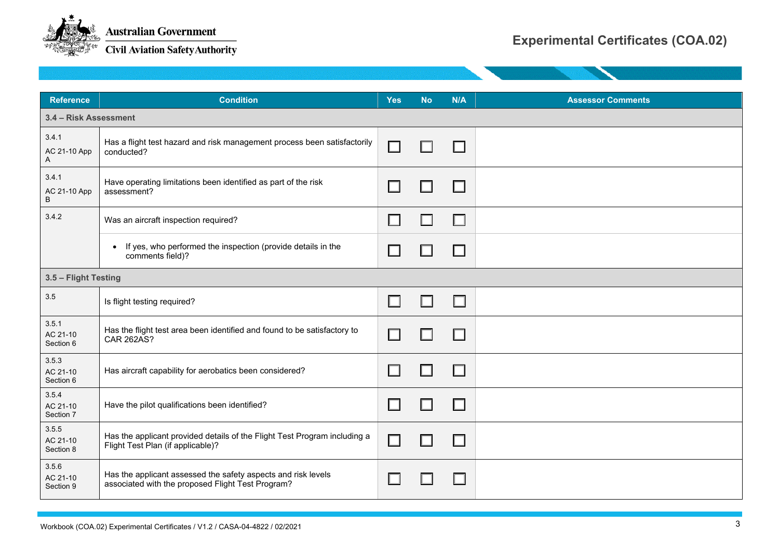

| <b>Reference</b>               | <b>Condition</b>                                                                                                   | <b>Yes</b> | <b>No</b> | N/A                      | <b>Assessor Comments</b> |
|--------------------------------|--------------------------------------------------------------------------------------------------------------------|------------|-----------|--------------------------|--------------------------|
| 3.4 - Risk Assessment          |                                                                                                                    |            |           |                          |                          |
| 3.4.1<br>AC 21-10 App<br>A     | Has a flight test hazard and risk management process been satisfactorily<br>conducted?                             | П          |           |                          |                          |
| 3.4.1<br>AC 21-10 App<br>B     | Have operating limitations been identified as part of the risk<br>assessment?                                      |            |           |                          |                          |
| 3.4.2                          | Was an aircraft inspection required?                                                                               | H          |           | П                        |                          |
|                                | If yes, who performed the inspection (provide details in the<br>comments field)?                                   | $\Box$     |           | $\overline{\phantom{0}}$ |                          |
| 3.5 - Flight Testing           |                                                                                                                    |            |           |                          |                          |
| 3.5                            | Is flight testing required?                                                                                        | $\Box$     |           | l I                      |                          |
| 3.5.1<br>AC 21-10<br>Section 6 | Has the flight test area been identified and found to be satisfactory to<br><b>CAR 262AS?</b>                      |            |           | H                        |                          |
| 3.5.3<br>AC 21-10<br>Section 6 | Has aircraft capability for aerobatics been considered?                                                            |            |           |                          |                          |
| 3.5.4<br>AC 21-10<br>Section 7 | Have the pilot qualifications been identified?                                                                     | $\Box$     |           | П                        |                          |
| 3.5.5<br>AC 21-10<br>Section 8 | Has the applicant provided details of the Flight Test Program including a<br>Flight Test Plan (if applicable)?     | $\Box$     |           | l.                       |                          |
| 3.5.6<br>AC 21-10<br>Section 9 | Has the applicant assessed the safety aspects and risk levels<br>associated with the proposed Flight Test Program? |            |           |                          |                          |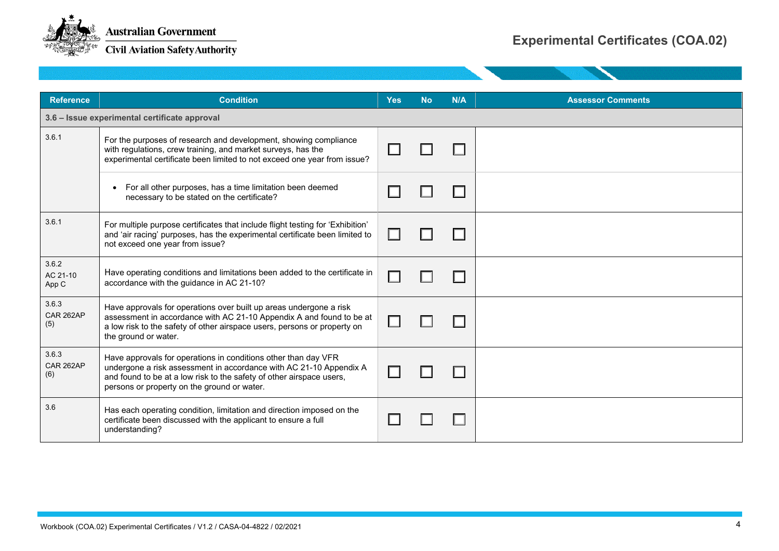

| <b>Reference</b>                              | <b>Condition</b>                                                                                                                                                                                                                                            | <b>Yes</b> | <b>No</b> | N/A | <b>Assessor Comments</b> |  |
|-----------------------------------------------|-------------------------------------------------------------------------------------------------------------------------------------------------------------------------------------------------------------------------------------------------------------|------------|-----------|-----|--------------------------|--|
| 3.6 - Issue experimental certificate approval |                                                                                                                                                                                                                                                             |            |           |     |                          |  |
| 3.6.1                                         | For the purposes of research and development, showing compliance<br>with regulations, crew training, and market surveys, has the<br>experimental certificate been limited to not exceed one year from issue?                                                |            |           |     |                          |  |
|                                               | For all other purposes, has a time limitation been deemed<br>necessary to be stated on the certificate?                                                                                                                                                     |            |           |     |                          |  |
| 3.6.1                                         | For multiple purpose certificates that include flight testing for 'Exhibition'<br>and 'air racing' purposes, has the experimental certificate been limited to<br>not exceed one year from issue?                                                            |            |           |     |                          |  |
| 3.6.2<br>AC 21-10<br>App C                    | Have operating conditions and limitations been added to the certificate in<br>accordance with the guidance in AC 21-10?                                                                                                                                     |            |           |     |                          |  |
| 3.6.3<br>CAR 262AP<br>(5)                     | Have approvals for operations over built up areas undergone a risk<br>assessment in accordance with AC 21-10 Appendix A and found to be at<br>a low risk to the safety of other airspace users, persons or property on<br>the ground or water.              |            |           |     |                          |  |
| 3.6.3<br>CAR 262AP<br>(6)                     | Have approvals for operations in conditions other than day VFR<br>undergone a risk assessment in accordance with AC 21-10 Appendix A<br>and found to be at a low risk to the safety of other airspace users,<br>persons or property on the ground or water. |            |           |     |                          |  |
| 3.6                                           | Has each operating condition, limitation and direction imposed on the<br>certificate been discussed with the applicant to ensure a full<br>understanding?                                                                                                   |            |           |     |                          |  |